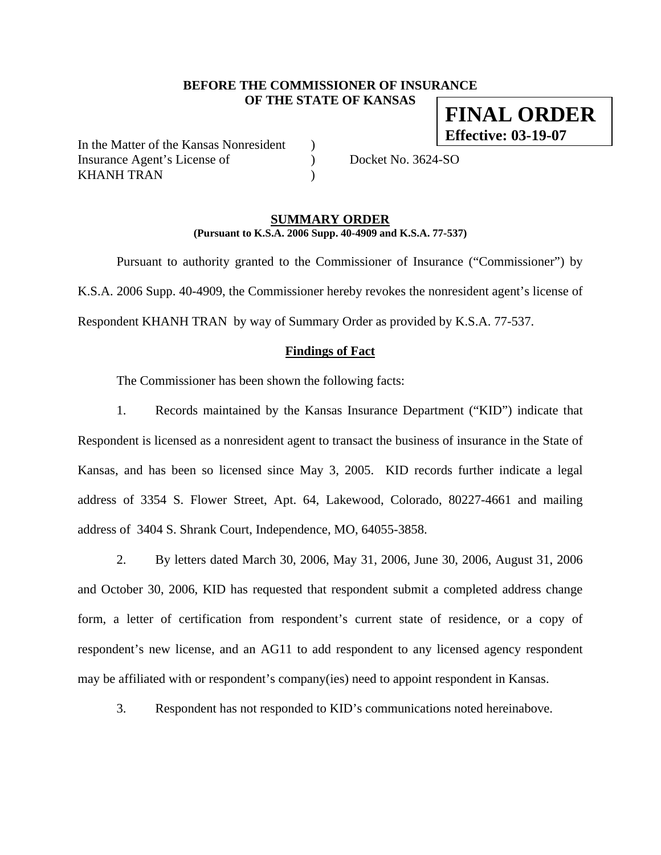# **BEFORE THE COMMISSIONER OF INSURANCE OF THE STATE OF KANSAS**

In the Matter of the Kansas Nonresident ) Insurance Agent's License of  $Docket No. 3624-SO$ KHANH TRAN (1998)

#### **SUMMARY ORDER (Pursuant to K.S.A. 2006 Supp. 40-4909 and K.S.A. 77-537)**

 Pursuant to authority granted to the Commissioner of Insurance ("Commissioner") by K.S.A. 2006 Supp. 40-4909, the Commissioner hereby revokes the nonresident agent's license of Respondent KHANH TRAN by way of Summary Order as provided by K.S.A. 77-537.

# **Findings of Fact**

The Commissioner has been shown the following facts:

1. Records maintained by the Kansas Insurance Department ("KID") indicate that Respondent is licensed as a nonresident agent to transact the business of insurance in the State of Kansas, and has been so licensed since May 3, 2005. KID records further indicate a legal address of 3354 S. Flower Street, Apt. 64, Lakewood, Colorado, 80227-4661 and mailing address of 3404 S. Shrank Court, Independence, MO, 64055-3858.

2. By letters dated March 30, 2006, May 31, 2006, June 30, 2006, August 31, 2006 and October 30, 2006, KID has requested that respondent submit a completed address change form, a letter of certification from respondent's current state of residence, or a copy of respondent's new license, and an AG11 to add respondent to any licensed agency respondent may be affiliated with or respondent's company(ies) need to appoint respondent in Kansas.

3. Respondent has not responded to KID's communications noted hereinabove.

**FINAL ORDER Effective: 03-19-07**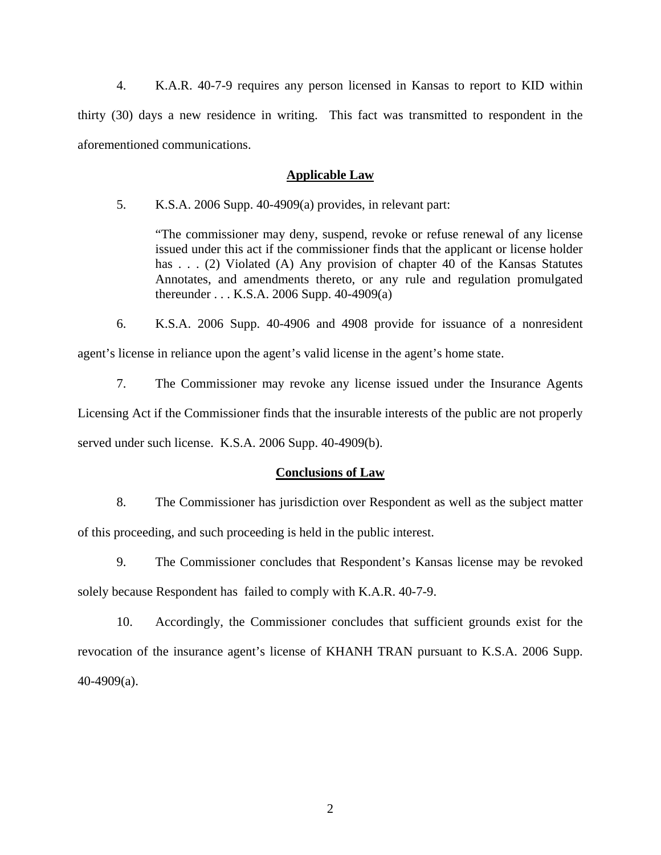4. K.A.R. 40-7-9 requires any person licensed in Kansas to report to KID within thirty (30) days a new residence in writing. This fact was transmitted to respondent in the aforementioned communications.

#### **Applicable Law**

5. K.S.A. 2006 Supp. 40-4909(a) provides, in relevant part:

"The commissioner may deny, suspend, revoke or refuse renewal of any license issued under this act if the commissioner finds that the applicant or license holder has . . . (2) Violated (A) Any provision of chapter 40 of the Kansas Statutes Annotates, and amendments thereto, or any rule and regulation promulgated thereunder . . . K.S.A. 2006 Supp. 40-4909(a)

6. K.S.A. 2006 Supp. 40-4906 and 4908 provide for issuance of a nonresident agent's license in reliance upon the agent's valid license in the agent's home state.

7. The Commissioner may revoke any license issued under the Insurance Agents Licensing Act if the Commissioner finds that the insurable interests of the public are not properly served under such license. K.S.A. 2006 Supp. 40-4909(b).

#### **Conclusions of Law**

8. The Commissioner has jurisdiction over Respondent as well as the subject matter of this proceeding, and such proceeding is held in the public interest.

9. The Commissioner concludes that Respondent's Kansas license may be revoked solely because Respondent has failed to comply with K.A.R. 40-7-9.

10. Accordingly, the Commissioner concludes that sufficient grounds exist for the revocation of the insurance agent's license of KHANH TRAN pursuant to K.S.A. 2006 Supp. 40-4909(a).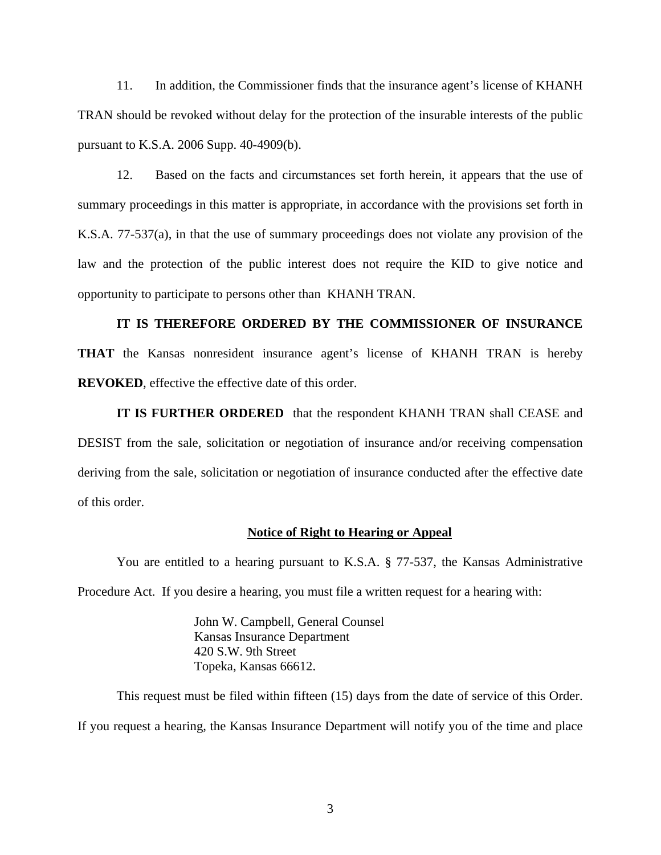11. In addition, the Commissioner finds that the insurance agent's license of KHANH TRAN should be revoked without delay for the protection of the insurable interests of the public pursuant to K.S.A. 2006 Supp. 40-4909(b).

12. Based on the facts and circumstances set forth herein, it appears that the use of summary proceedings in this matter is appropriate, in accordance with the provisions set forth in K.S.A. 77-537(a), in that the use of summary proceedings does not violate any provision of the law and the protection of the public interest does not require the KID to give notice and opportunity to participate to persons other than KHANH TRAN.

# **IT IS THEREFORE ORDERED BY THE COMMISSIONER OF INSURANCE**

**THAT** the Kansas nonresident insurance agent's license of KHANH TRAN is hereby **REVOKED**, effective the effective date of this order.

**IT IS FURTHER ORDERED** that the respondent KHANH TRAN shall CEASE and DESIST from the sale, solicitation or negotiation of insurance and/or receiving compensation deriving from the sale, solicitation or negotiation of insurance conducted after the effective date of this order.

#### **Notice of Right to Hearing or Appeal**

You are entitled to a hearing pursuant to K.S.A. § 77-537, the Kansas Administrative Procedure Act. If you desire a hearing, you must file a written request for a hearing with:

> John W. Campbell, General Counsel Kansas Insurance Department 420 S.W. 9th Street Topeka, Kansas 66612.

This request must be filed within fifteen (15) days from the date of service of this Order. If you request a hearing, the Kansas Insurance Department will notify you of the time and place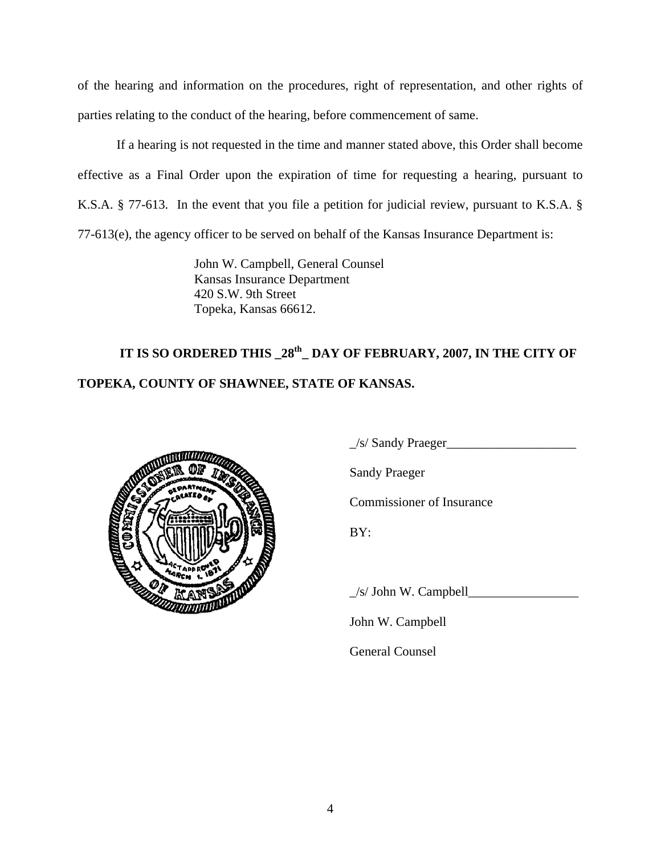of the hearing and information on the procedures, right of representation, and other rights of parties relating to the conduct of the hearing, before commencement of same.

If a hearing is not requested in the time and manner stated above, this Order shall become effective as a Final Order upon the expiration of time for requesting a hearing, pursuant to K.S.A. § 77-613. In the event that you file a petition for judicial review, pursuant to K.S.A. § 77-613(e), the agency officer to be served on behalf of the Kansas Insurance Department is:

> John W. Campbell, General Counsel Kansas Insurance Department 420 S.W. 9th Street Topeka, Kansas 66612.

# **IT IS SO ORDERED THIS \_28th\_ DAY OF FEBRUARY, 2007, IN THE CITY OF TOPEKA, COUNTY OF SHAWNEE, STATE OF KANSAS.**



 $\angle$ s/ Sandy Praeger

Sandy Praeger

Commissioner of Insurance

 $\angle$ s/ John W. Campbell $\Box$ 

John W. Campbell

General Counsel